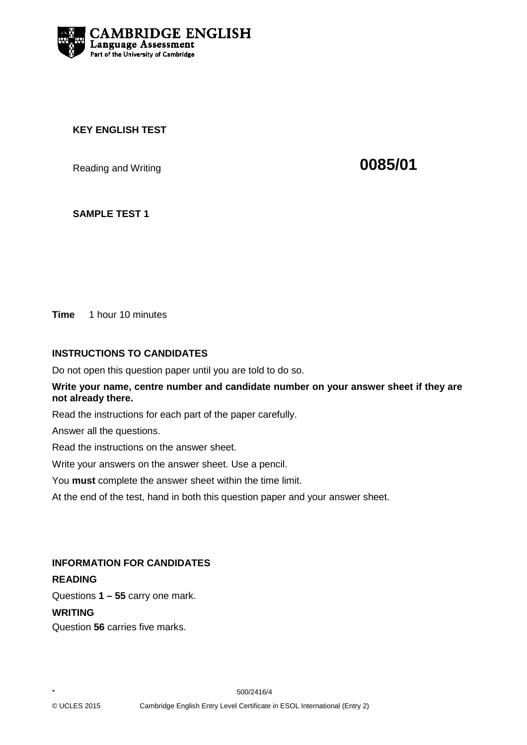

### **KEY ENGLISH TEST**

Reading and Writing **CO85/01** 

### **SAMPLE TEST 1**

**Time** 1 hour 10 minutes

### **INSTRUCTIONS TO CANDIDATES**

Do not open this question paper until you are told to do so.

#### **Write your name, centre number and candidate number on your answer sheet if they are not already there.**

Read the instructions for each part of the paper carefully.

Answer all the questions.

Read the instructions on the answer sheet.

Write your answers on the answer sheet. Use a pencil.

You **must** complete the answer sheet within the time limit.

At the end of the test, hand in both this question paper and your answer sheet.

#### **INFORMATION FOR CANDIDATES**

### **READING**

Questions **1 – 55** carry one mark.

#### **WRITING**

Question **56** carries five marks.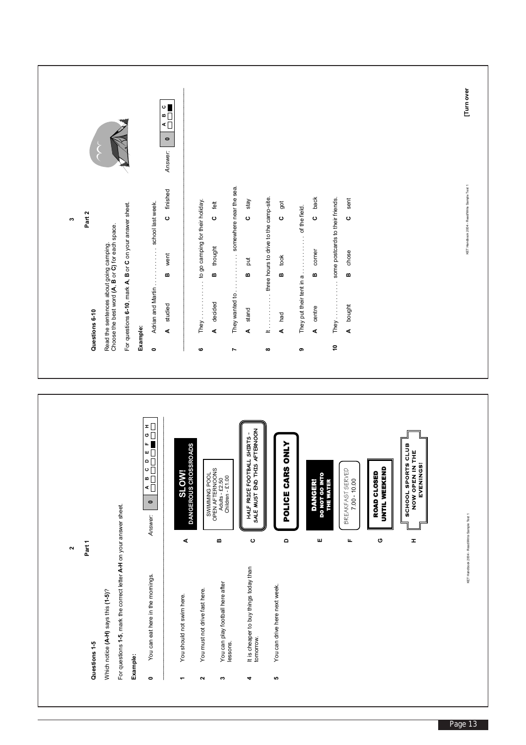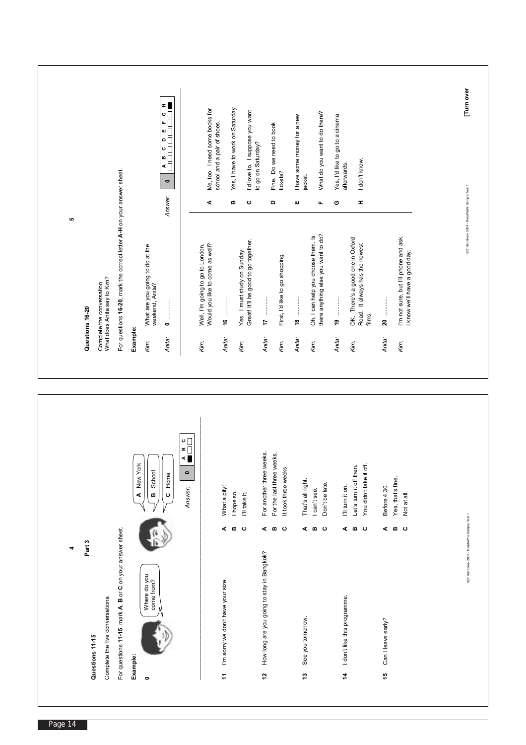| Part 3<br>4                                               |                    |                                                                      |          | ю<br>Questions 16-20                                                   |                                                                                                                                                    |  |
|-----------------------------------------------------------|--------------------|----------------------------------------------------------------------|----------|------------------------------------------------------------------------|----------------------------------------------------------------------------------------------------------------------------------------------------|--|
| Complete the five conversations.<br>Questions 11-15       |                    |                                                                      |          | Complete the conversation.<br>What does Anita say to Kim?              |                                                                                                                                                    |  |
| For questions 11-15, mark A, B or C on your answer sheet. |                    |                                                                      |          | For questions 16-20, mark the correct letter A-H on your answer sheet. |                                                                                                                                                    |  |
| Example:                                                  |                    | A New York                                                           | Example: |                                                                        |                                                                                                                                                    |  |
| Where do you<br>come from?<br>$\bullet$                   |                    | School<br>m                                                          | Kim:     | What are you going to do at the<br>weekend, Anita?                     |                                                                                                                                                    |  |
|                                                           |                    | C Home                                                               | Anita:   | $\bullet$                                                              | ≖ ∎<br>ه $\Box$<br>$\mathbf{L}$<br>$\blacksquare$<br>$\overline{\phantom{a}}$<br>$\circ$ $\Box$<br>$\blacksquare$<br>⋖ $□$<br>$\bullet$<br>Answer: |  |
|                                                           |                    | $\begin{array}{c}\n0 \\ \hline\n\end{array}$<br>$\bullet$<br>Answer: |          |                                                                        |                                                                                                                                                    |  |
|                                                           |                    |                                                                      | Kim:     | Would you like to come as well?<br>Well, I'm going to go to London.    | Me, too. I need some books for<br>⋖                                                                                                                |  |
| I'm sorry we don't have your size.<br>Ż                   | ⋖                  | What a pity!                                                         | Anita:   | 9                                                                      | school and a pair of shoes.                                                                                                                        |  |
|                                                           | m                  | I hope so.                                                           | Kim:     | Yes. I must study on Sunday.                                           | Yes, I have to work on Saturday.<br>m                                                                                                              |  |
|                                                           | ပ                  | I'll take it.                                                        |          | Great! It'll be good to go together.                                   | I'd love to. I suppose you want<br>$\mathbf \circ$                                                                                                 |  |
| How long are you going to stay in Bangkok?<br>$\tilde{a}$ | ⋖                  | For another three weeks.                                             | Anita:   |                                                                        | to go on Saturday?                                                                                                                                 |  |
|                                                           | $\pmb{\mathsf{m}}$ | For the last three weeks.                                            |          |                                                                        | Fine. Do we need to book<br>$\qquad \qquad \Box$                                                                                                   |  |
|                                                           | ပ                  | It took three weeks.                                                 | Kim:     | First, I'd like to go shopping.                                        | tickets?                                                                                                                                           |  |
|                                                           |                    |                                                                      | Anita:   |                                                                        | I have some money for a new<br>ш                                                                                                                   |  |
| See you tomorrow.<br>مبر<br>ب                             | $\bf{m}$<br>⋖      | That's all right.<br>I can't see.                                    | Kim:     | Oh, I can help you choose them. Is                                     | jacket.                                                                                                                                            |  |
|                                                           | ပ                  | Don't be late.                                                       |          | there anything else you want to do?                                    | What do you want to do there?<br>щ                                                                                                                 |  |
| I don't like this programme.<br>4                         | ⋖                  | I'll turn it on.                                                     | Anita:   |                                                                        | Yes, I'd like to go to a cinema<br>afterwards.<br>ပ                                                                                                |  |
|                                                           | m                  | Let's turn it off then.                                              | Kim:     | OK. There's a good one in Oxford                                       |                                                                                                                                                    |  |
|                                                           | ပ                  | You didn't take it off.                                              |          | Road. It always has the newest<br>films.                               | I don't know.<br>Ŧ,                                                                                                                                |  |
| Can I leave early?<br>49                                  | ⋖                  | Before 4.30.                                                         | Anita:   | 20                                                                     |                                                                                                                                                    |  |
|                                                           | മധ                 | Yes, that's fine.                                                    |          |                                                                        |                                                                                                                                                    |  |
|                                                           |                    | Not at all.                                                          | Kim:     | I'm not sure, but I'll phone and ask.<br>I know we'll have a good day. |                                                                                                                                                    |  |
|                                                           |                    |                                                                      |          |                                                                        |                                                                                                                                                    |  |
|                                                           |                    |                                                                      |          |                                                                        |                                                                                                                                                    |  |
| KET Handbook 2004 - ReadWrite Sample Test 1               |                    |                                                                      |          | KET Handbook 2004 - Read/Write Sample Test 1                           | [Tum over                                                                                                                                          |  |
|                                                           |                    |                                                                      |          |                                                                        |                                                                                                                                                    |  |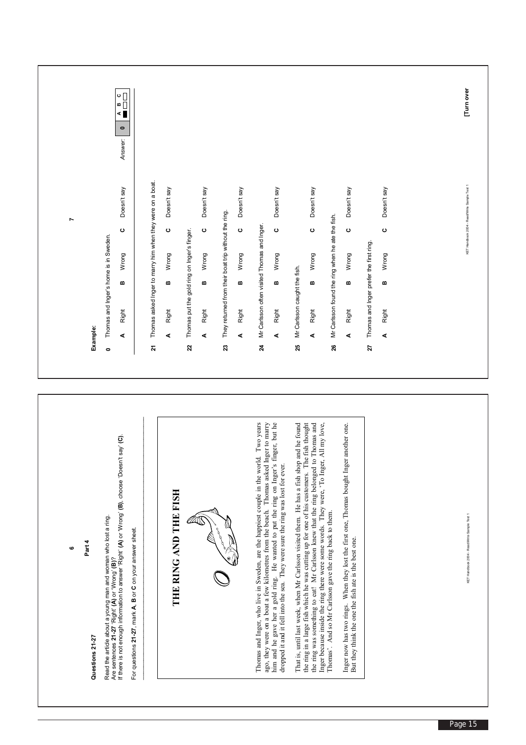|                                                                     | $\circ \Box$<br>≏ □<br>⋖∎<br>$\bullet$<br>Answer:                                                                                                                                                                                                                                   |                                                                                                                  |                                                                                                                                                                                    |                                                                                                                                                                                                                                                                                                                                                           |                                                                                                                                                                                                                                                                                                                                                                                                                                             |                                                                                                                                                    |                                                         | Tum over                                     |
|---------------------------------------------------------------------|-------------------------------------------------------------------------------------------------------------------------------------------------------------------------------------------------------------------------------------------------------------------------------------|------------------------------------------------------------------------------------------------------------------|------------------------------------------------------------------------------------------------------------------------------------------------------------------------------------|-----------------------------------------------------------------------------------------------------------------------------------------------------------------------------------------------------------------------------------------------------------------------------------------------------------------------------------------------------------|---------------------------------------------------------------------------------------------------------------------------------------------------------------------------------------------------------------------------------------------------------------------------------------------------------------------------------------------------------------------------------------------------------------------------------------------|----------------------------------------------------------------------------------------------------------------------------------------------------|---------------------------------------------------------|----------------------------------------------|
| r<br>Thomas and Inger's home is in Sweden.<br>Example:<br>$\bullet$ | Thomas asked Inger to marry him when they were on a boat.<br>Doesn't say<br>$\mathbf{o}$<br>Wrong<br>B<br>Right<br>⋖<br>21                                                                                                                                                          | Doesn't say<br>$\mathbf{\circ}$<br>Thomas put the gold ring on Inger's finger.<br>Wrong<br>m<br>Right<br>⋖<br>22 | Doesn't say<br>Doesn't say<br>They returned from their boat trip without the ring.<br>ပ<br>ပ<br>Wrong<br>Wrong<br>m<br>m<br>Right<br>Right<br>⋖<br>⋖<br>$\boldsymbol{\mathcal{Z}}$ | Doesn't say<br>Mr Carlsson often visited Thomas and Inger.<br>ပ<br>Wrong<br>m<br>Right<br>⋖<br>$\boldsymbol{z}$                                                                                                                                                                                                                                           | Doesn't say<br>Mr Carlsson found the ring when he ate the fish.<br>$\mathbf{\circ}$<br>Wrong<br>Mr Carlsson caught the fish.<br>œ<br>Right<br>⋖<br>25<br>26                                                                                                                                                                                                                                                                                 | Doesn't say<br>$\mathbf{o}$<br>Thomas and Inger prefer the first ring.<br>Wrong<br>m<br>Right<br>$\blacktriangleleft$<br>27                        | Doesn't say<br>$\mathbf{o}$<br>Wrong<br>m<br>Right<br>4 | KET Handbook 2004 - Read/Write Sample Test 1 |
| Part 4<br>ဖ<br>Questions 21-27                                      | If there is not enough information to answer 'Right' (A) or 'Wrong' (B), choose 'Doesn't say' (C).<br>Read the article about a young man and woman who lost a ring.<br>Are sentences 21-27 'Right' (A) or 'Wrong' (B)?<br>For questions 21-27, mark A, B or C on your answer sheet. | THE RING AND THE FISH                                                                                            |                                                                                                                                                                                    | Thomas and Inger, who live in Sweden, are the happiest couple in the world. Two years<br>ago, they were on a boat a few kilometres from the beach. Thomas asked Inger to marry<br>him and he gave her a gold ring. He wanted to put the ring on Inger's finger, but he<br>dropped it and it fell into the sea. They were sure the ring was lost for ever. | That is, until last week, when Mr Carlsson visited them. He has a fish shop and he found<br>the ring in a large fish which he was cutting up for one of his customers. The fish thought<br>Thomas and<br>All my love,<br>the ring was something to eat! Mr Carlsson knew that the ring belonged to<br>Inger because inside the ring there were some words. They were, 'To Inger,<br>Thomas'. And so Mr Carlsson gave the ring back to them. | another one.<br>Inger now has two rings. When they lost the first one, Thomas bought Inger<br>But they think the one the fish ate is the best one. |                                                         | KET Handbook 2004 - ReadWrite Sample Test 1  |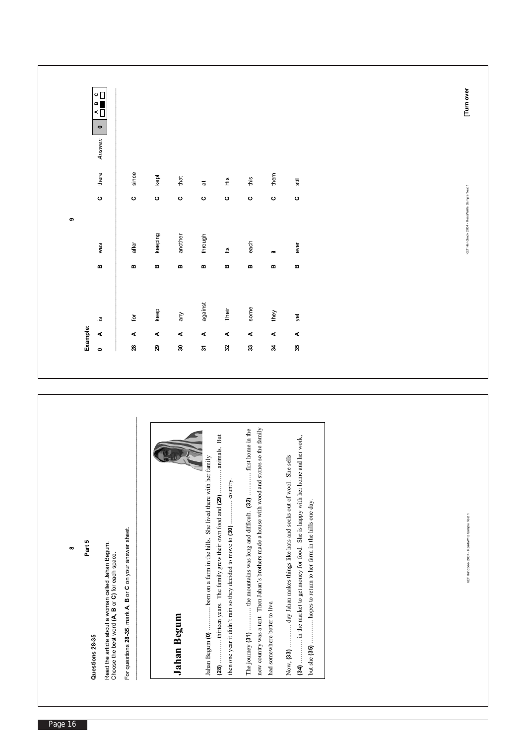| keeping<br>after<br>was | there<br>since<br>$\circ$<br>$\circ$           | $\begin{array}{c}\n0 \\ 0 \\ \hline\n\end{array}$<br>∣⋖Ō<br>$\bullet$<br>Answer: |
|-------------------------|------------------------------------------------|----------------------------------------------------------------------------------|
|                         |                                                |                                                                                  |
|                         |                                                |                                                                                  |
|                         | kept<br>$\circ$                                |                                                                                  |
| another                 | that<br>$\circ$                                |                                                                                  |
| through                 | $\overline{\overline{\sigma}}$<br>$\mathbf{o}$ |                                                                                  |
| Ľ                       | $\frac{\omega}{\Sigma}$                        |                                                                                  |
| each                    | this                                           |                                                                                  |
| $\equiv$                | them                                           |                                                                                  |
| ever                    | $\mathsf{still}$                               |                                                                                  |
|                         |                                                | $\circ$<br>$\circ$<br>$\circ$<br>$\mathbf{o}$                                    |

| new country was a tent. Then Jahan's brothers made a house with wood and stones so the family<br>The journey (31)  the mountains was long and difficult. (32)  first home in the<br>animals. But<br>in the market to get money for food. She is happy with her home and her work,<br>Now, (33)  day Jahan makes things like hats and socks out of wool. She sells<br>Jahan Begum (0)  born on a farm in the hills. She lived there with her family<br>country.<br>thirteen years. The family grew their own food and (29)<br>hopes to return to her farm in the hills one day.<br>then one year it didn't rain so they decided to move to (30)<br>For questions 28-35, mark A, B or C on your answer sheet.<br>Read the article about a woman called Jahan Begum.<br>Choose the best word (A, B or C) for each space.<br>had somewhere better to live.<br>Jahan Begum<br>but she $(35)$<br>(28)<br>(34) | ю<br>Part<br>$\infty$                       |
|---------------------------------------------------------------------------------------------------------------------------------------------------------------------------------------------------------------------------------------------------------------------------------------------------------------------------------------------------------------------------------------------------------------------------------------------------------------------------------------------------------------------------------------------------------------------------------------------------------------------------------------------------------------------------------------------------------------------------------------------------------------------------------------------------------------------------------------------------------------------------------------------------------|---------------------------------------------|
|                                                                                                                                                                                                                                                                                                                                                                                                                                                                                                                                                                                                                                                                                                                                                                                                                                                                                                         | Questions 28-35                             |
|                                                                                                                                                                                                                                                                                                                                                                                                                                                                                                                                                                                                                                                                                                                                                                                                                                                                                                         |                                             |
|                                                                                                                                                                                                                                                                                                                                                                                                                                                                                                                                                                                                                                                                                                                                                                                                                                                                                                         |                                             |
|                                                                                                                                                                                                                                                                                                                                                                                                                                                                                                                                                                                                                                                                                                                                                                                                                                                                                                         |                                             |
|                                                                                                                                                                                                                                                                                                                                                                                                                                                                                                                                                                                                                                                                                                                                                                                                                                                                                                         |                                             |
|                                                                                                                                                                                                                                                                                                                                                                                                                                                                                                                                                                                                                                                                                                                                                                                                                                                                                                         |                                             |
|                                                                                                                                                                                                                                                                                                                                                                                                                                                                                                                                                                                                                                                                                                                                                                                                                                                                                                         | KET Handbook 2004 - ReadWrite Sample Test 1 |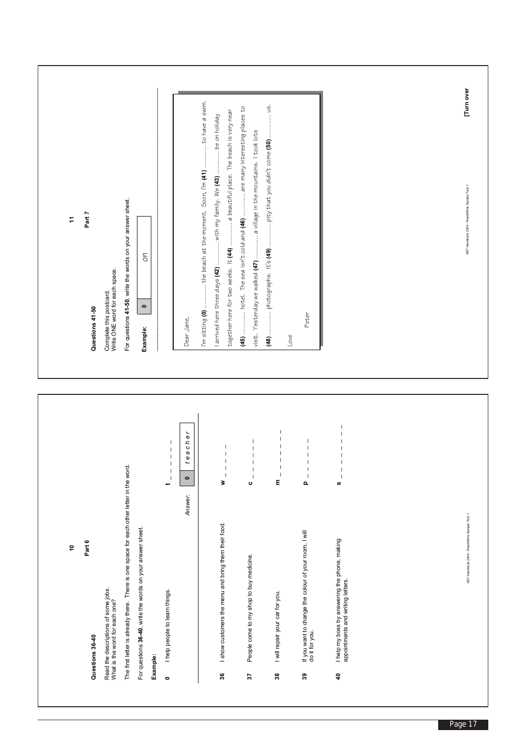| $\ddot{ }$ | Part 7<br>Questions 41-50 | Complete this postcard.<br>Write ONE word for each space.             | For questions 41-50, write the words on your answer sheet.                               | Оh<br>$\bullet$<br>Example:                                |          |                                                                                                                                                                                     | Dear Jane,                     | I'm sitting $(0)$ the beach at the moment. Soon, I'm $(41)$ to have a swim.<br>together here for two weeks. It <b>(44)</b> a beautiful place. The beach is very near<br>l arrived here three days <b>(42)</b> with my family. We <b>(43)</b> be on holiday | (45)  hotel. The sea isn't cold and (46)  are many interesting places to<br>visit. Yesterday we walked $(47)$ a village in the mountains. I took lots                                                                                                                                                                                                                                                                                                                                           | Love                                                                                                                                      | Peter                                                                                                                       |                                                                                                         |  | Tum over<br>KET Handbook 2004 - Read/Write Sample Test 1 |
|------------|---------------------------|-----------------------------------------------------------------------|------------------------------------------------------------------------------------------|------------------------------------------------------------|----------|-------------------------------------------------------------------------------------------------------------------------------------------------------------------------------------|--------------------------------|------------------------------------------------------------------------------------------------------------------------------------------------------------------------------------------------------------------------------------------------------------|-------------------------------------------------------------------------------------------------------------------------------------------------------------------------------------------------------------------------------------------------------------------------------------------------------------------------------------------------------------------------------------------------------------------------------------------------------------------------------------------------|-------------------------------------------------------------------------------------------------------------------------------------------|-----------------------------------------------------------------------------------------------------------------------------|---------------------------------------------------------------------------------------------------------|--|----------------------------------------------------------|
| Ş          | Part 6<br>Questions 36-40 | Read the descriptions of some jobs.<br>What is the word for each one? | The first letter is already there. There is one space for each other letter in the word. | For questions 36-40, write the words on your answer sheet. | Example: | $\begin{array}{c} \hline \end{array}$<br>$\overline{\phantom{a}}$<br>-1<br>$\mathsf I$<br>$\begin{array}{c} \hline \end{array}$<br>پ<br>I help people to learn things.<br>$\bullet$ | eacher<br>$\bullet$<br>Answer: | $\overline{\phantom{a}}$<br>$\overline{\phantom{a}}$<br>$\overline{\phantom{a}}$<br>$\overline{\phantom{a}}$<br>$\overline{\phantom{a}}$<br>₹<br>I show customers the menu and bring them their food.<br>ని                                                | $\overline{\phantom{a}}$<br>$\mathsf I$<br>$\begin{array}{c} \rule{0pt}{2.5ex} \rule{0pt}{2.5ex} \rule{0pt}{2.5ex} \rule{0pt}{2.5ex} \rule{0pt}{2.5ex} \rule{0pt}{2.5ex} \rule{0pt}{2.5ex} \rule{0pt}{2.5ex} \rule{0pt}{2.5ex} \rule{0pt}{2.5ex} \rule{0pt}{2.5ex} \rule{0pt}{2.5ex} \rule{0pt}{2.5ex} \rule{0pt}{2.5ex} \rule{0pt}{2.5ex} \rule{0pt}{2.5ex} \rule{0pt}{2.5ex} \rule{0pt}{2.5ex} \rule{0pt}{2.5ex} \rule{0$<br>$\mathsf I$<br>ပ<br>People come to my shop to buy medicine.<br>2 | $\overline{1}$<br>-1<br>J<br>$\overline{\phantom{a}}$<br>$\overline{\phantom{a}}$<br>٤<br>I will repair your car for you.<br>$\mathbf{3}$ | $\overline{\phantom{a}}$<br>$\mathbf{a}$<br>If you want to change the colour of your room, I will<br>do it for you.<br>చ్లి | U)<br>I help my boss by answering the phone, making<br>appointments and writing letters.<br>$\clubsuit$ |  | KET Handbook 2004 - ReadWrite Sample Test 1              |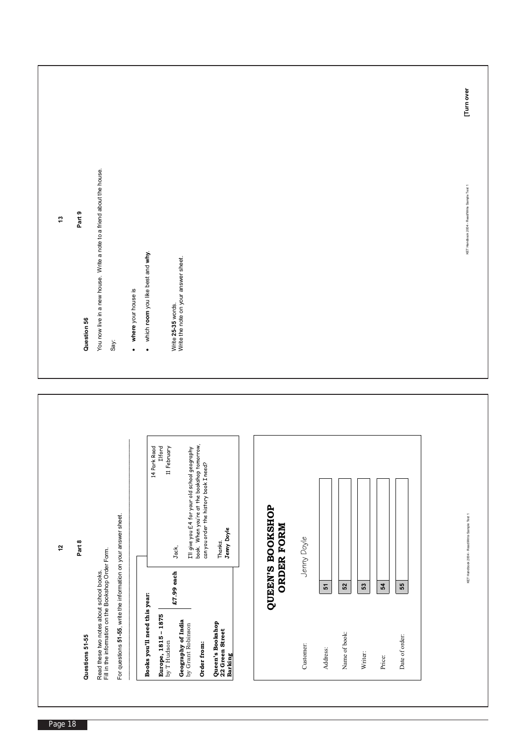|              |                                                                                                                                                                                                                                                                                                                                                                                                                                                                                                                                         | [Tum over                                    |
|--------------|-----------------------------------------------------------------------------------------------------------------------------------------------------------------------------------------------------------------------------------------------------------------------------------------------------------------------------------------------------------------------------------------------------------------------------------------------------------------------------------------------------------------------------------------|----------------------------------------------|
| 5            | You now live in a new house. Write a note to a friend about the house.<br>Part 9<br>which room you like best and why.<br>Write 25-35 words.<br>Write the note on your answer sheet.<br>where your house is<br>Question 56<br>Say:<br>$\bullet$<br>$\bullet$                                                                                                                                                                                                                                                                             | KET Handbook 2004 - Read/Write Sample Test 1 |
|              |                                                                                                                                                                                                                                                                                                                                                                                                                                                                                                                                         |                                              |
| $\mathbf{r}$ | I'll give you £4 for your old school geography<br>book. When you're at the bookshop tomorrow,<br>can you order the history book I need?<br>k Road<br>Ilford<br>11 February<br>14 Park<br>QUEEN'S BOOKSHOP<br>For questions 51-55, write the information on your answer sheet.<br><b>ORDER FORM</b><br>Jenny Doyle<br>Jenny Doyle<br>Thanks.<br>Part 8<br>Jack,<br>Read these two notes about school books.<br>Fill in the information on the Bookshop Order Form.<br>£7.99 each<br>55<br>54<br>$\boldsymbol{\tilde{c}}$<br>$52\,$<br>53 | KET Handbook 2004 - ReadWrite Sample Test 1  |
|              | Books you'll need this year:<br><b>Europe, 1815 - 1875</b><br>by T Hudson<br><b>Geography of India</b><br>by Grant Robinson<br>Queen's Bookshop<br>22 Green Street<br>Name of book:<br>Date of order:<br>Questions 51-55<br>Order from:<br>Customer:<br>Address:<br>Writer:<br><b>Barking</b><br>Price:                                                                                                                                                                                                                                 |                                              |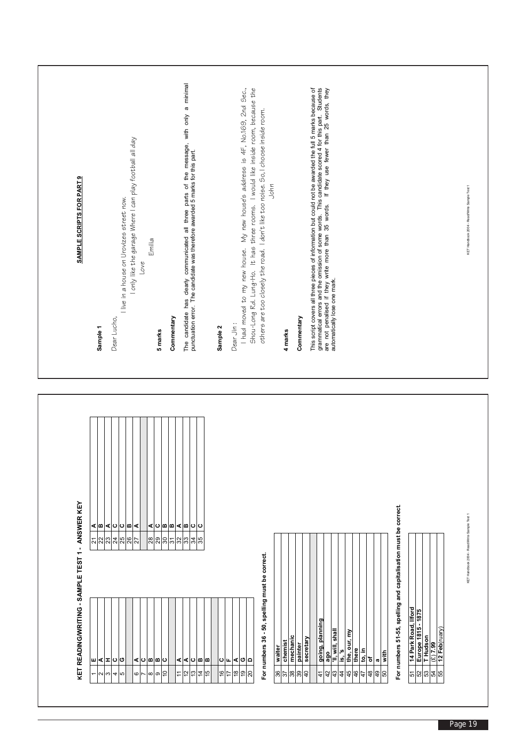|  | SAMPLE SCRIPTS FOR PART 9                        | Sample 1                                                          | Dear Lucho,                        | I live in a house on Urovizes street now. | I only like the garage Where I can play football all day<br>Love | Emilia                    | 5 marks                                                 | Commentary                            | The candidate has clearly communicated all three parts of the message, with only a minimal<br>punctuation error. The candidate was therefore awarded 5 marks for this part. |                                                         | Sample 2            | Dear Jin:    | I had moved to my new house. My new house's address is 4F, No.169, 2nd Sec., | It has three rooms. I would like inside room, because the<br>Shou-Long Rd. Lung-Ho. | others are too closely the road. I don't like too noise. So, I choose inside room.<br>John |              | 4 marks                   | Commentary    | This script covers all three pieces of information but could not be awarded the full 5 marks because of | grammatical errors and the omission of some words. This candidate scored 4 for this part. Students<br>are not penalised if they write more than 35 words. If they use fewer than 25 words, they<br>automatically lose one mark. |                              |                                       |             |                                                                           |                       |                                                                 |                            |                                                                           |    | KET Handbook 2004 - Read/Write Sample Test 1 |
|--|--------------------------------------------------|-------------------------------------------------------------------|------------------------------------|-------------------------------------------|------------------------------------------------------------------|---------------------------|---------------------------------------------------------|---------------------------------------|-----------------------------------------------------------------------------------------------------------------------------------------------------------------------------|---------------------------------------------------------|---------------------|--------------|------------------------------------------------------------------------------|-------------------------------------------------------------------------------------|--------------------------------------------------------------------------------------------|--------------|---------------------------|---------------|---------------------------------------------------------------------------------------------------------|---------------------------------------------------------------------------------------------------------------------------------------------------------------------------------------------------------------------------------|------------------------------|---------------------------------------|-------------|---------------------------------------------------------------------------|-----------------------|-----------------------------------------------------------------|----------------------------|---------------------------------------------------------------------------|----|----------------------------------------------|
|  | KET READING/WRITING - SAMPLE TEST 1 - ANSWER KEY | ⋖∣≏<br>$\overline{\mathcal{N}}$<br>23<br>ш<br>⋖<br>$\overline{ }$ | ∣⊲∣ഠ∣മ<br>24<br>ပ<br>ᆍ<br>4<br>∾∣ന | $\frac{8}{25}$<br>ပ<br>Б                  | ⋖<br>⋖<br>6                                                      | ⋖<br>28<br>ပစ<br>$\infty$ | ပြစစ<br>$\frac{8}{30}$<br>m<br>ပ<br>$\overline{0}$<br>თ | $\overline{5}$<br>⋖<br>$\overline{1}$ | ⊲∣മ∣<br>ပ<br>34<br>32<br>⊲ ∪<br>ë<br>51                                                                                                                                     | $\mathbf{\circ}$<br>35<br>m<br>ø<br>51<br>$\frac{4}{3}$ | ပ<br>$\overline{0}$ | щ<br>°€<br>≒ | ⊲∣৩<br>$\frac{9}{5}$                                                         | $\overline{\phantom{a}}$<br>ຊ                                                       | For numbers 36 - 50, spelling must be correct.                                             | waiter<br>36 | mechanic<br>chemist<br>38 | painter<br>39 | secretary<br>$\overline{a}$                                                                             | going, planning<br>$\frac{1}{4}$<br>42                                                                                                                                                                                          | 'II, will, shal<br>ago<br>43 | the, our, my<br>ʻ0<br><u>.6</u><br>45 | there<br>46 | $\overline{\mathbf{10}}$ , $\overline{\mathbf{10}}$<br>፟፟፟፟፟፟<br>48<br>47 | with<br>a<br>49<br>50 | For numbers 51-55, spelling and capitalisation must be correct. | 14 Park Road, Ilford<br>51 | Europe 1815 - 1875<br>  T Hudson<br>  (£) 7.99<br>  12 Feb(ruary)<br>ននាន | 55 | KET Handbook 2004 - ReadWrite Sample Test 1  |